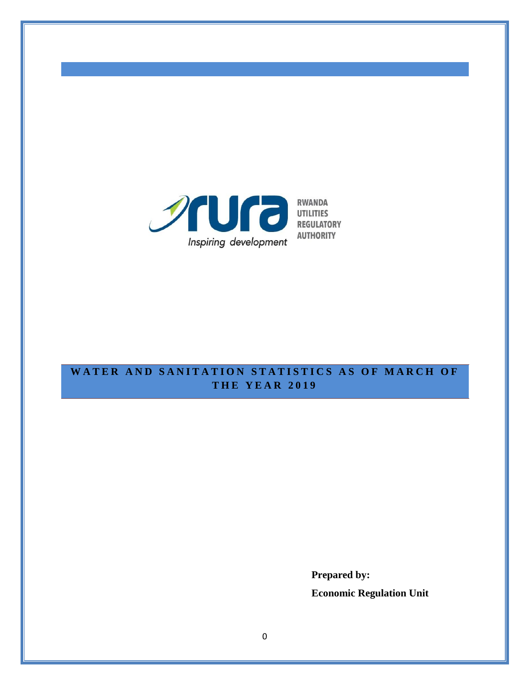

**AUTHORITY** 

# **WATER AND SANITATION STATISTICS AS OF MARCH OF T H E Y E A R 201 9**

**Prepared by: Economic Regulation Unit**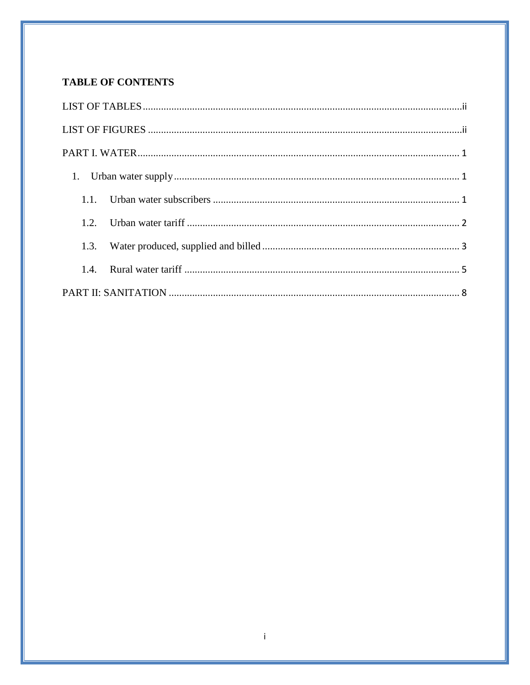# **TABLE OF CONTENTS**

| 1.3. |  |  |  |  |
|------|--|--|--|--|
|      |  |  |  |  |
|      |  |  |  |  |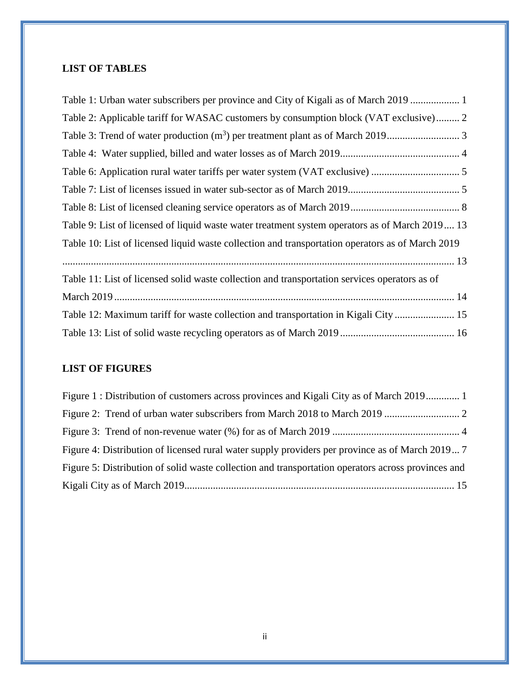# <span id="page-2-0"></span>**LIST OF TABLES**

| Table 1: Urban water subscribers per province and City of Kigali as of March 2019                |
|--------------------------------------------------------------------------------------------------|
| Table 2: Applicable tariff for WASAC customers by consumption block (VAT exclusive) 2            |
|                                                                                                  |
|                                                                                                  |
|                                                                                                  |
|                                                                                                  |
|                                                                                                  |
| Table 9: List of licensed of liquid waste water treatment system operators as of March 2019 13   |
| Table 10: List of licensed liquid waste collection and transportation operators as of March 2019 |
|                                                                                                  |
| Table 11: List of licensed solid waste collection and transportation services operators as of    |
|                                                                                                  |
| Table 12: Maximum tariff for waste collection and transportation in Kigali City  15              |
|                                                                                                  |

# <span id="page-2-1"></span>**LIST OF FIGURES**

| Figure 1: Distribution of customers across provinces and Kigali City as of March 2019 1            |  |
|----------------------------------------------------------------------------------------------------|--|
|                                                                                                    |  |
|                                                                                                    |  |
| Figure 4: Distribution of licensed rural water supply providers per province as of March 2019 7    |  |
| Figure 5: Distribution of solid waste collection and transportation operators across provinces and |  |
|                                                                                                    |  |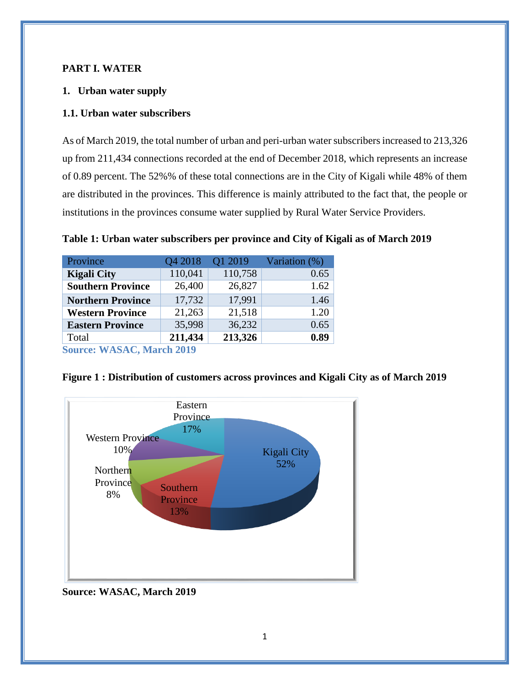#### <span id="page-3-0"></span>**PART I. WATER**

#### <span id="page-3-1"></span>**1. Urban water supply**

#### <span id="page-3-2"></span>**1.1. Urban water subscribers**

As of March 2019, the total number of urban and peri-urban water subscribers increased to 213,326 up from 211,434 connections recorded at the end of December 2018, which represents an increase of 0.89 percent. The 52%% of these total connections are in the City of Kigali while 48% of them are distributed in the provinces. This difference is mainly attributed to the fact that, the people or institutions in the provinces consume water supplied by Rural Water Service Providers.

<span id="page-3-3"></span>**Table 1: Urban water subscribers per province and City of Kigali as of March 2019**

| Province                        | Q4 2018 | Q1 2019 | Variation (%) |  |  |
|---------------------------------|---------|---------|---------------|--|--|
| <b>Kigali City</b>              | 110,041 | 110,758 | 0.65          |  |  |
| <b>Southern Province</b>        | 26,400  | 26,827  | 1.62          |  |  |
| <b>Northern Province</b>        | 17,732  | 17,991  | 1.46          |  |  |
| <b>Western Province</b>         | 21,263  | 21,518  | 1.20          |  |  |
| <b>Eastern Province</b>         | 35,998  | 36,232  | 0.65          |  |  |
| Total                           | 211,434 | 213,326 | 0.89          |  |  |
| <b>Source: WASAC March 2019</b> |         |         |               |  |  |

**Source: WASAC, March 2019**



<span id="page-3-4"></span>**Figure 1 : Distribution of customers across provinces and Kigali City as of March 2019**

### **Source: WASAC, March 2019**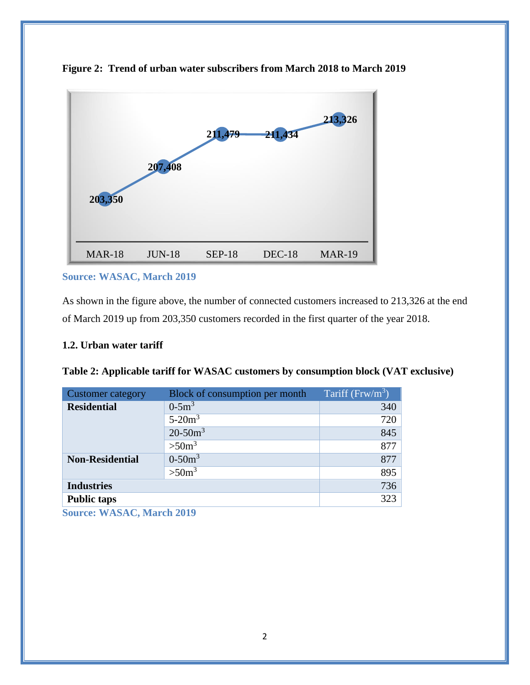

<span id="page-4-2"></span>

### **Source: WASAC, March 2019**

As shown in the figure above, the number of connected customers increased to 213,326 at the end of March 2019 up from 203,350 customers recorded in the first quarter of the year 2018.

#### <span id="page-4-0"></span>**1.2. Urban water tariff**

| <b>Customer category</b>             | Block of consumption per month | Tariff ( $Frw/m^3$ ) |  |  |  |  |
|--------------------------------------|--------------------------------|----------------------|--|--|--|--|
| <b>Residential</b>                   | $0 - 5m^3$                     | 340                  |  |  |  |  |
|                                      | $5-20m^3$                      | 720                  |  |  |  |  |
|                                      | $20-50m^3$                     | 845                  |  |  |  |  |
|                                      | >50 <sup>3</sup>               | 877                  |  |  |  |  |
| <b>Non-Residential</b>               | $0-50m^3$                      | 877                  |  |  |  |  |
|                                      | >50 <sup>3</sup>               | 895                  |  |  |  |  |
| <b>Industries</b>                    |                                | 736                  |  |  |  |  |
| <b>Public taps</b>                   |                                | 323                  |  |  |  |  |
| $\sim$<br><b>TTIACACAT</b><br>1.2010 |                                |                      |  |  |  |  |

<span id="page-4-1"></span>

| Table 2: Applicable tariff for WASAC customers by consumption block (VAT exclusive) |  |  |
|-------------------------------------------------------------------------------------|--|--|
|                                                                                     |  |  |

**Source: WASAC, March 2019**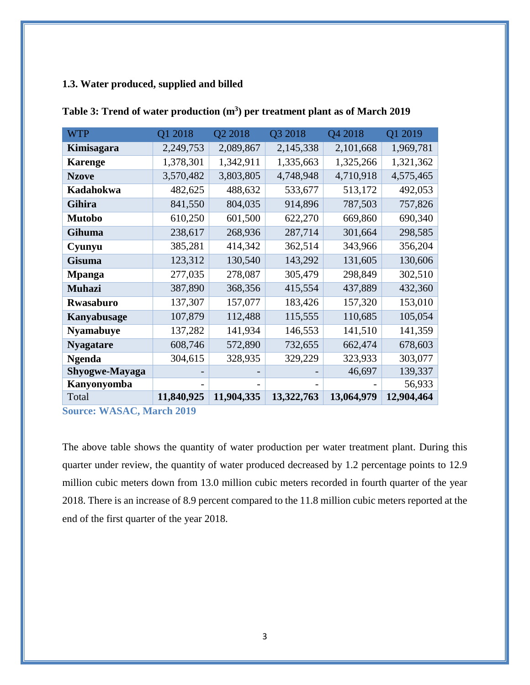### <span id="page-5-0"></span>**1.3. Water produced, supplied and billed**

| <b>WTP</b>            | Q1 2018    | Q2 2018    | Q3 2018    | Q4 2018    | Q1 2019    |
|-----------------------|------------|------------|------------|------------|------------|
| Kimisagara            | 2,249,753  | 2,089,867  | 2,145,338  | 2,101,668  | 1,969,781  |
| <b>Karenge</b>        | 1,378,301  | 1,342,911  | 1,335,663  | 1,325,266  | 1,321,362  |
| <b>Nzove</b>          | 3,570,482  | 3,803,805  | 4,748,948  | 4,710,918  | 4,575,465  |
| Kadahokwa             | 482,625    | 488,632    | 533,677    | 513,172    | 492,053    |
| Gihira                | 841,550    | 804,035    | 914,896    | 787,503    | 757,826    |
| <b>Mutobo</b>         | 610,250    | 601,500    | 622,270    | 669,860    | 690,340    |
| Gihuma                | 238,617    | 268,936    | 287,714    | 301,664    | 298,585    |
| Cyunyu                | 385,281    | 414,342    | 362,514    | 343,966    | 356,204    |
| Gisuma                | 123,312    | 130,540    | 143,292    | 131,605    | 130,606    |
| <b>Mpanga</b>         | 277,035    | 278,087    | 305,479    | 298,849    | 302,510    |
| <b>Muhazi</b>         | 387,890    | 368,356    | 415,554    | 437,889    | 432,360    |
| <b>Rwasaburo</b>      | 137,307    | 157,077    | 183,426    | 157,320    | 153,010    |
| Kanyabusage           | 107,879    | 112,488    | 115,555    | 110,685    | 105,054    |
| <b>Nyamabuye</b>      | 137,282    | 141,934    | 146,553    | 141,510    | 141,359    |
| <b>Nyagatare</b>      | 608,746    | 572,890    | 732,655    | 662,474    | 678,603    |
| <b>Ngenda</b>         | 304,615    | 328,935    | 329,229    | 323,933    | 303,077    |
| <b>Shyogwe-Mayaga</b> |            |            |            | 46,697     | 139,337    |
| <b>Kanyonyomba</b>    |            |            |            |            | 56,933     |
| Total                 | 11,840,925 | 11,904,335 | 13,322,763 | 13,064,979 | 12,904,464 |

<span id="page-5-1"></span>**Table 3: Trend of water production (m<sup>3</sup> ) per treatment plant as of March 2019**

**Source: WASAC, March 2019**

The above table shows the quantity of water production per water treatment plant. During this quarter under review, the quantity of water produced decreased by 1.2 percentage points to 12.9 million cubic meters down from 13.0 million cubic meters recorded in fourth quarter of the year 2018. There is an increase of 8.9 percent compared to the 11.8 million cubic meters reported at the end of the first quarter of the year 2018.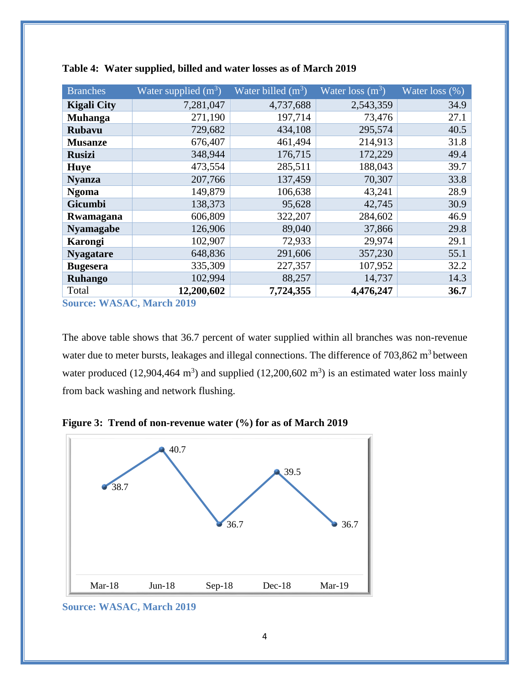| <b>Branches</b>    | Water supplied $(m^3)$ | Water billed $(m^3)$ | Water loss $(m^3)$ | Water loss $\overline{(%)}$ |
|--------------------|------------------------|----------------------|--------------------|-----------------------------|
| <b>Kigali City</b> | 7,281,047              | 4,737,688            | 2,543,359          | 34.9                        |
| <b>Muhanga</b>     | 271,190                | 197,714              | 73,476             | 27.1                        |
| <b>Rubavu</b>      | 729,682                | 434,108              | 295,574            | 40.5                        |
| <b>Musanze</b>     | 676,407                | 461,494              | 214,913            | 31.8                        |
| <b>Rusizi</b>      | 348,944                | 176,715              | 172,229            | 49.4                        |
| <b>Huye</b>        | 473,554                | 285,511              | 188,043            | 39.7                        |
| <b>Nyanza</b>      | 207,766                | 137,459              | 70,307             | 33.8                        |
| <b>Ngoma</b>       | 149,879                | 106,638              | 43,241             | 28.9                        |
| <b>Gicumbi</b>     | 138,373                | 95,628               | 42,745             | 30.9                        |
| Rwamagana          | 606,809                | 322,207              | 284,602            | 46.9                        |
| <b>Nyamagabe</b>   | 126,906                | 89,040               | 37,866             | 29.8                        |
| <b>Karongi</b>     | 102,907                | 72,933               | 29,974             | 29.1                        |
| <b>Nyagatare</b>   | 648,836                | 291,606              | 357,230            | 55.1                        |
| <b>Bugesera</b>    | 335,309                | 227,357              | 107,952            | 32.2                        |
| <b>Ruhango</b>     | 102,994                | 88,257               | 14,737             | 14.3                        |
| Total              | 12,200,602             | 7,724,355            | 4,476,247          | 36.7                        |

<span id="page-6-0"></span>

**Source: WASAC, March 2019**

The above table shows that 36.7 percent of water supplied within all branches was non-revenue water due to meter bursts, leakages and illegal connections. The difference of 703,862 m<sup>3</sup> between water produced  $(12,904,464 \text{ m}^3)$  and supplied  $(12,200,602 \text{ m}^3)$  is an estimated water loss mainly from back washing and network flushing.

<span id="page-6-1"></span>



**Source: WASAC, March 2019**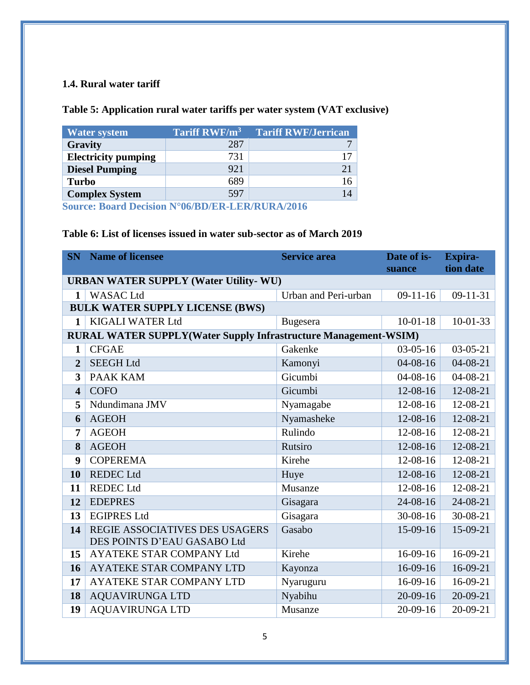#### <span id="page-7-0"></span>**1.4. Rural water tariff**

### <span id="page-7-1"></span>**Table 5: Application rural water tariffs per water system (VAT exclusive)**

| <b>Water system</b>        | Tariff RWF/m <sup>3</sup> | <b>Tariff RWF/Jerrican</b> |
|----------------------------|---------------------------|----------------------------|
| Gravity                    | 287                       |                            |
| <b>Electricity pumping</b> | 731                       |                            |
| <b>Diesel Pumping</b>      | 921                       |                            |
| <b>Turbo</b>               | 689                       |                            |
| <b>Complex System</b>      | 597                       | 14                         |

**Source: Board Decision N°06/BD/ER-LER/RURA/2016**

### <span id="page-7-2"></span>**Table 6: List of licenses issued in water sub-sector as of March 2019**

| <b>SN</b>                                     | <b>Name of licensee</b>                                                | <b>Service area</b>  | Date of is-<br>suance | <b>Expira-</b><br>tion date |  |  |
|-----------------------------------------------|------------------------------------------------------------------------|----------------------|-----------------------|-----------------------------|--|--|
| <b>URBAN WATER SUPPLY (Water Utility- WU)</b> |                                                                        |                      |                       |                             |  |  |
| $\mathbf{1}$                                  | <b>WASAC Ltd</b>                                                       | Urban and Peri-urban | $09-11-16$            | $09-11-31$                  |  |  |
|                                               | <b>BULK WATER SUPPLY LICENSE (BWS)</b>                                 |                      |                       |                             |  |  |
| $\mathbf{1}$                                  | <b>KIGALI WATER Ltd</b>                                                | Bugesera             | $10-01-18$            | $10-01-33$                  |  |  |
|                                               | <b>RURAL WATER SUPPLY(Water Supply Infrastructure Management-WSIM)</b> |                      |                       |                             |  |  |
| 1                                             | <b>CFGAE</b>                                                           | Gakenke              | $03-05-16$            | $03-05-21$                  |  |  |
| $\overline{2}$                                | <b>SEEGH Ltd</b>                                                       | Kamonyi              | $04 - 08 - 16$        | $04 - 08 - 21$              |  |  |
| $\overline{\mathbf{3}}$                       | <b>PAAK KAM</b>                                                        | Gicumbi              | $04 - 08 - 16$        | $04 - 08 - 21$              |  |  |
| $\overline{\mathbf{4}}$                       | <b>COFO</b>                                                            | Gicumbi              | 12-08-16              | 12-08-21                    |  |  |
| 5                                             | Ndundimana JMV                                                         | Nyamagabe            | $12-08-16$            | 12-08-21                    |  |  |
| 6                                             | <b>AGEOH</b>                                                           | Nyamasheke           | $12-08-16$            | 12-08-21                    |  |  |
| 7                                             | <b>AGEOH</b>                                                           | Rulindo              | $12 - 08 - 16$        | 12-08-21                    |  |  |
| 8                                             | <b>AGEOH</b>                                                           | Rutsiro              | $12-08-16$            | 12-08-21                    |  |  |
| 9                                             | <b>COPEREMA</b>                                                        | Kirehe               | 12-08-16              | 12-08-21                    |  |  |
| 10                                            | <b>REDEC Ltd</b>                                                       | Huye                 | 12-08-16              | 12-08-21                    |  |  |
| 11                                            | <b>REDEC</b> Ltd                                                       | Musanze              | 12-08-16              | 12-08-21                    |  |  |
| 12                                            | <b>EDEPRES</b>                                                         | Gisagara             | 24-08-16              | 24-08-21                    |  |  |
| 13                                            | <b>EGIPRES Ltd</b>                                                     | Gisagara             | 30-08-16              | 30-08-21                    |  |  |
| 14                                            | REGIE ASSOCIATIVES DES USAGERS                                         | Gasabo               | $15-09-16$            | 15-09-21                    |  |  |
|                                               | DES POINTS D'EAU GASABO Ltd                                            |                      |                       |                             |  |  |
| 15                                            | <b>AYATEKE STAR COMPANY Ltd</b>                                        | Kirehe               | $16-09-16$            | $16-09-21$                  |  |  |
| 16                                            | AYATEKE STAR COMPANY LTD                                               | Kayonza              | $16-09-16$            | 16-09-21                    |  |  |
| 17                                            | AYATEKE STAR COMPANY LTD                                               | Nyaruguru            | $16-09-16$            | 16-09-21                    |  |  |
| 18                                            | <b>AQUAVIRUNGA LTD</b>                                                 | Nyabihu              | $20-09-16$            | $20-09-21$                  |  |  |
| 19                                            | <b>AQUAVIRUNGA LTD</b>                                                 | Musanze              | $20-09-16$            | $20-09-21$                  |  |  |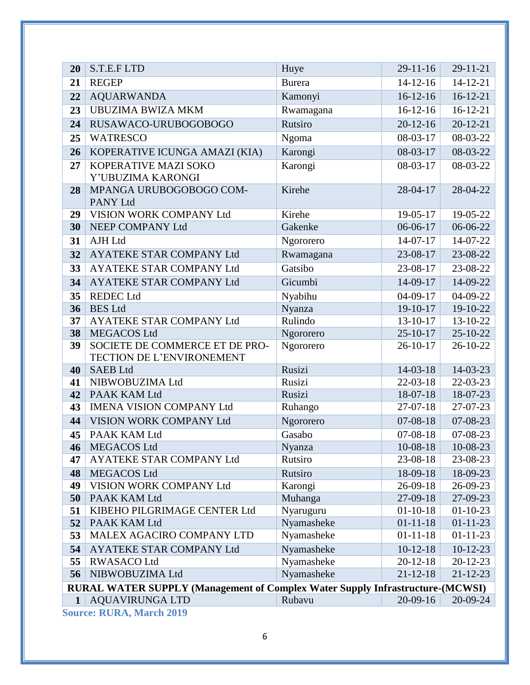| 20           | S.T.E.F LTD                                                                   | Huye             | $29-11-16$               | $29 - 11 - 21$         |  |  |
|--------------|-------------------------------------------------------------------------------|------------------|--------------------------|------------------------|--|--|
| 21           | <b>REGEP</b>                                                                  | <b>Burera</b>    | $14-12-16$               | $14 - 12 - 21$         |  |  |
| 22           | <b>AQUARWANDA</b>                                                             | Kamonyi          | $16-12-16$               | $16-12-21$             |  |  |
| 23           | <b>UBUZIMA BWIZA MKM</b>                                                      | Rwamagana        | $16-12-16$               | $16-12-21$             |  |  |
| 24           | RUSAWACO-URUBOGOBOGO                                                          | Rutsiro          | $20 - 12 - 16$           | $20 - 12 - 21$         |  |  |
| 25           | <b>WATRESCO</b>                                                               | Ngoma            | 08-03-17                 | 08-03-22               |  |  |
| 26           | KOPERATIVE ICUNGA AMAZI (KIA)                                                 | Karongi          | 08-03-17                 | $08-03-22$             |  |  |
| 27           | KOPERATIVE MAZI SOKO                                                          | Karongi          | 08-03-17                 | 08-03-22               |  |  |
|              | Y'UBUZIMA KARONGI                                                             |                  |                          |                        |  |  |
| 28           | MPANGA URUBOGOBOGO COM-<br>PANY Ltd                                           | Kirehe           | 28-04-17                 | 28-04-22               |  |  |
| 29           | VISION WORK COMPANY Ltd                                                       | Kirehe           | 19-05-17                 | 19-05-22               |  |  |
| 30           | NEEP COMPANY Ltd                                                              | Gakenke          | 06-06-17                 | 06-06-22               |  |  |
| 31           | <b>AJH Ltd</b>                                                                | Ngororero        | $14-07-17$               | 14-07-22               |  |  |
| 32           | AYATEKE STAR COMPANY Ltd                                                      | Rwamagana        | 23-08-17                 | 23-08-22               |  |  |
| 33           | AYATEKE STAR COMPANY Ltd                                                      | Gatsibo          | 23-08-17                 | 23-08-22               |  |  |
| 34           | AYATEKE STAR COMPANY Ltd                                                      | Gicumbi          | 14-09-17                 | 14-09-22               |  |  |
| 35           | <b>REDEC</b> Ltd                                                              | Nyabihu          | $04-09-17$               | 04-09-22               |  |  |
| 36           | <b>BES</b> Ltd                                                                | Nyanza           | $19-10-17$               | 19-10-22               |  |  |
| 37           | <b>AYATEKE STAR COMPANY Ltd</b>                                               | Rulindo          | $13 - 10 - 17$           | 13-10-22               |  |  |
| 38           | <b>MEGACOS Ltd</b>                                                            | Ngororero        | $25 - 10 - 17$           | $25 - 10 - 22$         |  |  |
| 39           | SOCIETE DE COMMERCE ET DE PRO-                                                | Ngororero        | $26 - 10 - 17$           | 26-10-22               |  |  |
|              | TECTION DE L'ENVIRONEMENT                                                     |                  |                          |                        |  |  |
| 40<br>41     | <b>SAEB Ltd</b><br>NIBWOBUZIMA Ltd                                            | Rusizi<br>Rusizi | $14-03-18$<br>$22-03-18$ | 14-03-23<br>$22-03-23$ |  |  |
| 42           | PAAK KAM Ltd                                                                  | Rusizi           | 18-07-18                 | 18-07-23               |  |  |
| 43           | <b>IMENA VISION COMPANY Ltd</b>                                               | Ruhango          | $27-07-18$               | 27-07-23               |  |  |
| 44           | VISION WORK COMPANY Ltd                                                       | Ngororero        | $07 - 08 - 18$           | 07-08-23               |  |  |
| 45           | PAAK KAM Ltd                                                                  | Gasabo           | $07 - 08 - 18$           | 07-08-23               |  |  |
| 46           | MEGACOS Ltd                                                                   | Nyanza           | $10 - 08 - 18$           | $10-08-23$             |  |  |
| 47           | AYATEKE STAR COMPANY Ltd                                                      | Rutsiro          | 23-08-18                 | 23-08-23               |  |  |
| 48           | <b>MEGACOS Ltd</b>                                                            | Rutsiro          | 18-09-18                 | 18-09-23               |  |  |
| 49           | VISION WORK COMPANY Ltd                                                       | Karongi          | 26-09-18                 | 26-09-23               |  |  |
| 50           | PAAK KAM Ltd                                                                  | Muhanga          | 27-09-18                 | 27-09-23               |  |  |
| 51           | KIBEHO PILGRIMAGE CENTER Ltd                                                  | Nyaruguru        | $01 - 10 - 18$           | $01-10-23$             |  |  |
| 52           | PAAK KAM Ltd                                                                  | Nyamasheke       | $01 - 11 - 18$           | $01 - 11 - 23$         |  |  |
| 53           | MALEX AGACIRO COMPANY LTD                                                     | Nyamasheke       | $01 - 11 - 18$           | $01 - 11 - 23$         |  |  |
| 54           | AYATEKE STAR COMPANY Ltd                                                      | Nyamasheke       | $10-12-18$               | $10-12-23$             |  |  |
| 55           | <b>RWASACO Ltd</b>                                                            | Nyamasheke       | $20 - 12 - 18$           | $20 - 12 - 23$         |  |  |
| 56           | NIBWOBUZIMA Ltd                                                               | Nyamasheke       | $21 - 12 - 18$           | $21 - 12 - 23$         |  |  |
|              | RURAL WATER SUPPLY (Management of Complex Water Supply Infrastructure-(MCWSI) |                  |                          |                        |  |  |
| $\mathbf{1}$ | <b>AQUAVIRUNGA LTD</b><br>Course DIDA Morah 2010                              | Rubavu           | $20 - 09 - 16$           | 20-09-24               |  |  |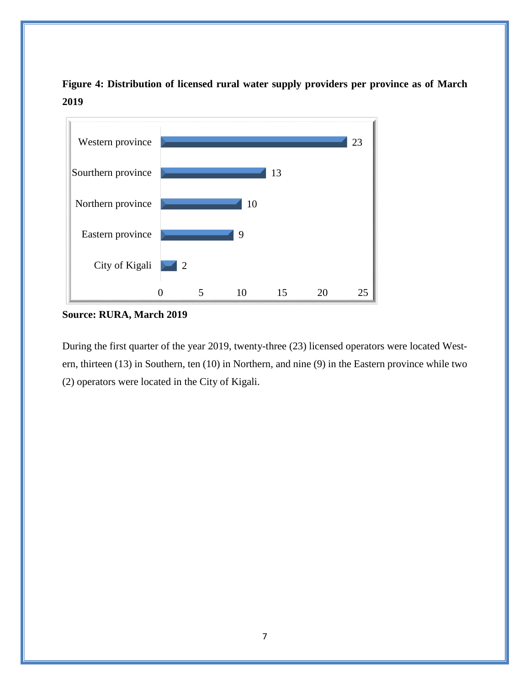<span id="page-9-0"></span>**Figure 4: Distribution of licensed rural water supply providers per province as of March 2019**



**Source: RURA, March 2019**

During the first quarter of the year 2019, twenty-three (23) licensed operators were located Western, thirteen (13) in Southern, ten (10) in Northern, and nine (9) in the Eastern province while two (2) operators were located in the City of Kigali.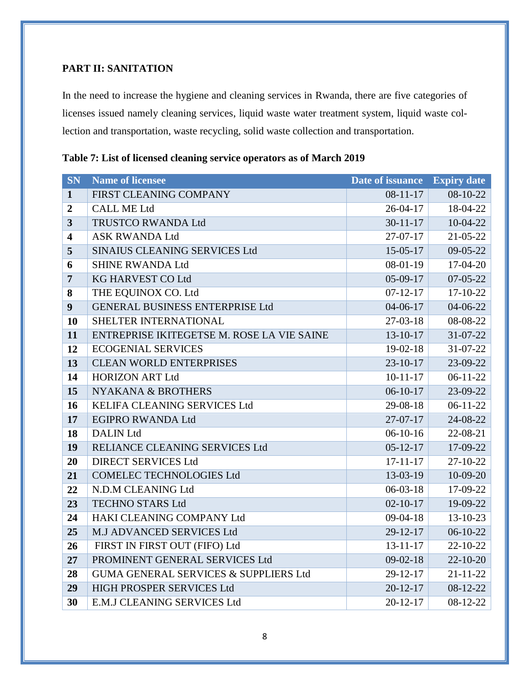### <span id="page-10-0"></span>**PART II: SANITATION**

In the need to increase the hygiene and cleaning services in Rwanda, there are five categories of licenses issued namely cleaning services, liquid waste water treatment system, liquid waste collection and transportation, waste recycling, solid waste collection and transportation.

| <b>SN</b>               | <b>Name of licensee</b>                    | Date of issuance | <b>Expiry date</b> |
|-------------------------|--------------------------------------------|------------------|--------------------|
| $\mathbf{1}$            | FIRST CLEANING COMPANY                     | $08-11-17$       | $08-10-22$         |
| $\boldsymbol{2}$        | <b>CALL ME Ltd</b>                         | $26 - 04 - 17$   | 18-04-22           |
| $\overline{\mathbf{3}}$ | TRUSTCO RWANDA Ltd                         | $30 - 11 - 17$   | $10-04-22$         |
| $\overline{\mathbf{4}}$ | <b>ASK RWANDA Ltd</b>                      | $27-07-17$       | $21 - 05 - 22$     |
| 5                       | SINAIUS CLEANING SERVICES Ltd              | $15 - 05 - 17$   | 09-05-22           |
| 6                       | <b>SHINE RWANDA Ltd</b>                    | $08-01-19$       | 17-04-20           |
| $\overline{7}$          | <b>KG HARVEST CO Ltd</b>                   | 05-09-17         | 07-05-22           |
| 8                       | THE EQUINOX CO. Ltd                        | $07-12-17$       | 17-10-22           |
| 9                       | <b>GENERAL BUSINESS ENTERPRISE Ltd</b>     | $04 - 06 - 17$   | 04-06-22           |
| <b>10</b>               | SHELTER INTERNATIONAL                      | $27-03-18$       | 08-08-22           |
| 11                      | ENTREPRISE IKITEGETSE M. ROSE LA VIE SAINE | $13 - 10 - 17$   | 31-07-22           |
| 12                      | <b>ECOGENIAL SERVICES</b>                  | 19-02-18         | $31 - 07 - 22$     |
| 13                      | <b>CLEAN WORLD ENTERPRISES</b>             | $23 - 10 - 17$   | 23-09-22           |
| 14                      | <b>HORIZON ART Ltd</b>                     | $10-11-17$       | $06-11-22$         |
| 15                      | <b>NYAKANA &amp; BROTHERS</b>              | $06-10-17$       | 23-09-22           |
| 16                      | KELIFA CLEANING SERVICES Ltd               | 29-08-18         | $06-11-22$         |
| 17                      | <b>EGIPRO RWANDA Ltd</b>                   | 27-07-17         | 24-08-22           |
| 18                      | <b>DALIN Ltd</b>                           | $06-10-16$       | 22-08-21           |
| 19                      | RELIANCE CLEANING SERVICES Ltd             | $05 - 12 - 17$   | 17-09-22           |
| 20                      | <b>DIRECT SERVICES Ltd</b>                 | $17 - 11 - 17$   | $27-10-22$         |
| 21                      | <b>COMELEC TECHNOLOGIES Ltd</b>            | 13-03-19         | 10-09-20           |
| 22                      | N.D.M CLEANING Ltd                         | $06-03-18$       | 17-09-22           |
| 23                      | <b>TECHNO STARS Ltd</b>                    | $02 - 10 - 17$   | 19-09-22           |
| 24                      | HAKI CLEANING COMPANY Ltd                  | $09-04-18$       | $13 - 10 - 23$     |
| 25                      | M.J ADVANCED SERVICES Ltd                  | $29 - 12 - 17$   | $06-10-22$         |
| 26                      | FIRST IN FIRST OUT (FIFO) Ltd              | $13 - 11 - 17$   | 22-10-22           |
| 27                      | PROMINENT GENERAL SERVICES Ltd             | $09 - 02 - 18$   | $22-10-20$         |
| 28                      | GUMA GENERAL SERVICES & SUPPLIERS Ltd      | $29 - 12 - 17$   | $21 - 11 - 22$     |
| 29                      | HIGH PROSPER SERVICES Ltd                  | $20 - 12 - 17$   | 08-12-22           |
| 30                      | E.M.J CLEANING SERVICES Ltd                | $20 - 12 - 17$   | 08-12-22           |

<span id="page-10-1"></span>

|  |  |  |  | Table 7: List of licensed cleaning service operators as of March 2019 |  |  |
|--|--|--|--|-----------------------------------------------------------------------|--|--|
|  |  |  |  |                                                                       |  |  |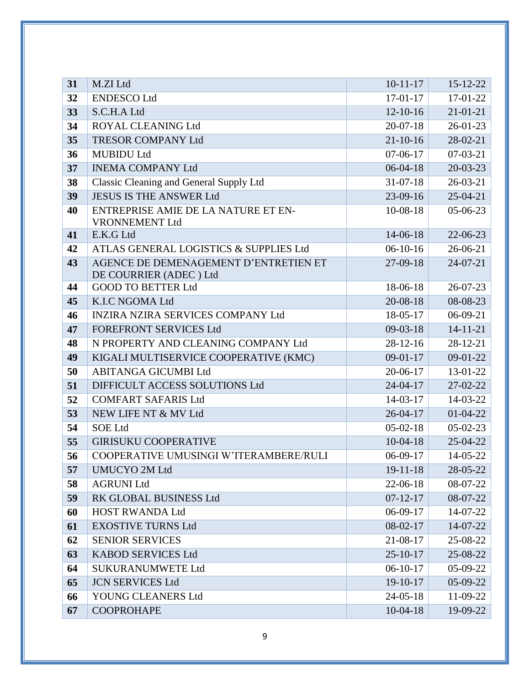| 31 | M.ZI Ltd                                                        | $10-11-17$     | 15-12-22       |
|----|-----------------------------------------------------------------|----------------|----------------|
| 32 | <b>ENDESCO Ltd</b>                                              | $17-01-17$     | 17-01-22       |
| 33 | S.C.H.A Ltd                                                     | $12 - 10 - 16$ | $21 - 01 - 21$ |
| 34 | ROYAL CLEANING Ltd                                              | $20-07-18$     | $26 - 01 - 23$ |
| 35 | <b>TRESOR COMPANY Ltd</b>                                       | $21 - 10 - 16$ | 28-02-21       |
| 36 | <b>MUBIDU Ltd</b>                                               | $07-06-17$     | $07-03-21$     |
| 37 | <b>INEMA COMPANY Ltd</b>                                        | $06-04-18$     | $20 - 03 - 23$ |
| 38 | Classic Cleaning and General Supply Ltd                         | $31 - 07 - 18$ | $26 - 03 - 21$ |
| 39 | <b>JESUS IS THE ANSWER Ltd</b>                                  | $23-09-16$     | $25-04-21$     |
| 40 | ENTREPRISE AMIE DE LA NATURE ET EN-<br><b>VRONNEMENT Ltd</b>    | 10-08-18       | 05-06-23       |
| 41 | E.K.G Ltd                                                       | 14-06-18       | 22-06-23       |
| 42 | ATLAS GENERAL LOGISTICS & SUPPLIES Ltd                          | $06-10-16$     | 26-06-21       |
| 43 | AGENCE DE DEMENAGEMENT D'ENTRETIEN ET<br>DE COURRIER (ADEC) Ltd | $27-09-18$     | 24-07-21       |
| 44 | <b>GOOD TO BETTER Ltd</b>                                       | 18-06-18       | 26-07-23       |
| 45 | K.I.C NGOMA Ltd                                                 | 20-08-18       | 08-08-23       |
| 46 | <b>INZIRA NZIRA SERVICES COMPANY Ltd</b>                        | 18-05-17       | 06-09-21       |
| 47 | <b>FOREFRONT SERVICES Ltd</b>                                   | $09-03-18$     | $14 - 11 - 21$ |
| 48 | N PROPERTY AND CLEANING COMPANY Ltd                             | $28-12-16$     | $28-12-21$     |
| 49 | KIGALI MULTISERVICE COOPERATIVE (KMC)                           | $09-01-17$     | $09-01-22$     |
| 50 | <b>ABITANGA GICUMBI Ltd</b>                                     | 20-06-17       | 13-01-22       |
| 51 | DIFFICULT ACCESS SOLUTIONS Ltd                                  | $24 - 04 - 17$ | 27-02-22       |
| 52 | <b>COMFART SAFARIS Ltd</b>                                      | $14 - 03 - 17$ | 14-03-22       |
| 53 | NEW LIFE NT & MV Ltd                                            | $26 - 04 - 17$ | $01 - 04 - 22$ |
| 54 | <b>SOE Ltd</b>                                                  | $05-02-18$     | $05-02-23$     |
| 55 | <b>GIRISUKU COOPERATIVE</b>                                     | $10-04-18$     | 25-04-22       |
| 56 | COOPERATIVE UMUSINGI W'ITERAMBERE/RULI                          | $06-09-17$     | 14-05-22       |
| 57 | <b>UMUCYO 2M Ltd</b>                                            | $19 - 11 - 18$ | $28 - 05 - 22$ |
| 58 | <b>AGRUNI Ltd</b>                                               | $22-06-18$     | 08-07-22       |
| 59 | RK GLOBAL BUSINESS Ltd                                          | $07 - 12 - 17$ | 08-07-22       |
| 60 | <b>HOST RWANDA Ltd</b>                                          | $06-09-17$     | 14-07-22       |
| 61 | <b>EXOSTIVE TURNS Ltd</b>                                       | $08-02-17$     | 14-07-22       |
| 62 | <b>SENIOR SERVICES</b>                                          | 21-08-17       | 25-08-22       |
| 63 | <b>KABOD SERVICES Ltd</b>                                       | $25 - 10 - 17$ | 25-08-22       |
| 64 | <b>SUKURANUMWETE Ltd</b>                                        | $06-10-17$     | 05-09-22       |
| 65 | <b>JCN SERVICES Ltd</b>                                         | 19-10-17       | 05-09-22       |
| 66 | YOUNG CLEANERS Ltd                                              | $24 - 05 - 18$ | 11-09-22       |
| 67 | <b>COOPROHAPE</b>                                               | $10-04-18$     | 19-09-22       |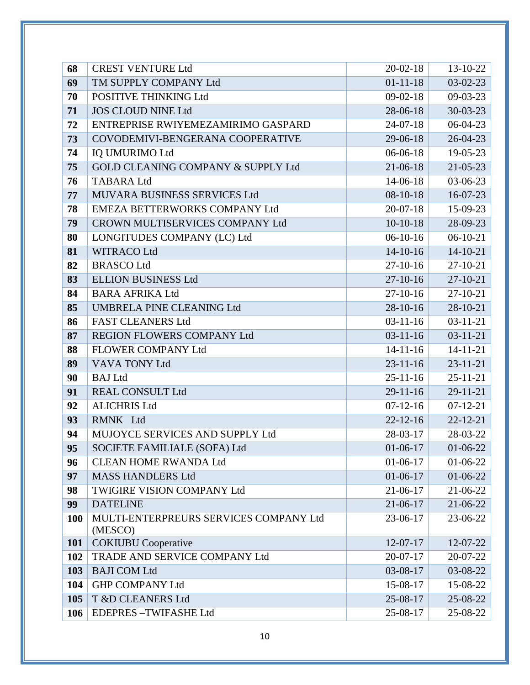| 68         | <b>CREST VENTURE Ltd</b>                          | $20 - 02 - 18$ | 13-10-22       |
|------------|---------------------------------------------------|----------------|----------------|
| 69         | TM SUPPLY COMPANY Ltd                             | $01 - 11 - 18$ | $03-02-23$     |
| 70         | POSITIVE THINKING Ltd                             | $09-02-18$     | $09-03-23$     |
| 71         | <b>JOS CLOUD NINE Ltd</b>                         | 28-06-18       | $30 - 03 - 23$ |
| 72         | ENTREPRISE RWIYEMEZAMIRIMO GASPARD                | $24 - 07 - 18$ | $06-04-23$     |
| 73         | COVODEMIVI-BENGERANA COOPERATIVE                  | $29-06-18$     | $26 - 04 - 23$ |
| 74         | <b>IQ UMURIMO Ltd</b>                             | $06-06-18$     | 19-05-23       |
| 75         | <b>GOLD CLEANING COMPANY &amp; SUPPLY Ltd</b>     | $21 - 06 - 18$ | $21 - 05 - 23$ |
| 76         | <b>TABARA Ltd</b>                                 | $14 - 06 - 18$ | 03-06-23       |
| 77         | MUVARA BUSINESS SERVICES Ltd                      | $08-10-18$     | $16-07-23$     |
| 78         | EMEZA BETTERWORKS COMPANY Ltd                     | $20-07-18$     | 15-09-23       |
| 79         | CROWN MULTISERVICES COMPANY Ltd                   | $10-10-18$     | 28-09-23       |
| 80         | LONGITUDES COMPANY (LC) Ltd                       | $06-10-16$     | $06-10-21$     |
| 81         | <b>WITRACO Ltd</b>                                | $14 - 10 - 16$ | $14 - 10 - 21$ |
| 82         | <b>BRASCO Ltd</b>                                 | $27-10-16$     | 27-10-21       |
| 83         | <b>ELLION BUSINESS Ltd</b>                        | $27-10-16$     | $27 - 10 - 21$ |
| 84         | <b>BARA AFRIKA Ltd</b>                            | $27-10-16$     | $27-10-21$     |
| 85         | <b>UMBRELA PINE CLEANING Ltd</b>                  | $28-10-16$     | 28-10-21       |
| 86         | <b>FAST CLEANERS Ltd</b>                          | $03-11-16$     | $03-11-21$     |
| 87         | REGION FLOWERS COMPANY Ltd                        | $03-11-16$     | $03 - 11 - 21$ |
| 88         | FLOWER COMPANY Ltd                                | $14 - 11 - 16$ | $14 - 11 - 21$ |
| 89         | VAVA TONY Ltd                                     | $23 - 11 - 16$ | $23 - 11 - 21$ |
| 90         | <b>BAJ</b> Ltd                                    | $25 - 11 - 16$ | $25 - 11 - 21$ |
| 91         | <b>REAL CONSULT Ltd</b>                           | $29-11-16$     | $29 - 11 - 21$ |
| 92         | <b>ALICHRIS Ltd</b>                               | $07-12-16$     | $07-12-21$     |
| 93         | RMNK Ltd                                          | $22 - 12 - 16$ | $22 - 12 - 21$ |
| 94         | MUJOYCE SERVICES AND SUPPLY Ltd                   | $28-03-17$     | 28-03-22       |
| 95         | SOCIETE FAMILIALE (SOFA) Ltd                      | $01-06-17$     | $01-06-22$     |
| 96         | <b>CLEAN HOME RWANDA Ltd</b>                      | $01-06-17$     | $01-06-22$     |
| 97         | <b>MASS HANDLERS Ltd</b>                          | $01-06-17$     | $01-06-22$     |
| 98         | TWIGIRE VISION COMPANY Ltd                        | $21-06-17$     | 21-06-22       |
| 99         | <b>DATELINE</b>                                   | $21-06-17$     | 21-06-22       |
| <b>100</b> | MULTI-ENTERPREURS SERVICES COMPANY Ltd<br>(MESCO) | 23-06-17       | 23-06-22       |
| <b>101</b> | <b>COKIUBU</b> Cooperative                        | $12-07-17$     | 12-07-22       |
| 102        | TRADE AND SERVICE COMPANY Ltd                     | $20-07-17$     | 20-07-22       |
| 103        | <b>BAJI COM Ltd</b>                               | 03-08-17       | 03-08-22       |
| 104        | <b>GHP COMPANY Ltd</b>                            | 15-08-17       | 15-08-22       |
| 105        | T &D CLEANERS Ltd                                 | 25-08-17       | 25-08-22       |
| 106        | <b>EDEPRES-TWIFASHE Ltd</b>                       | 25-08-17       | 25-08-22       |
|            |                                                   |                |                |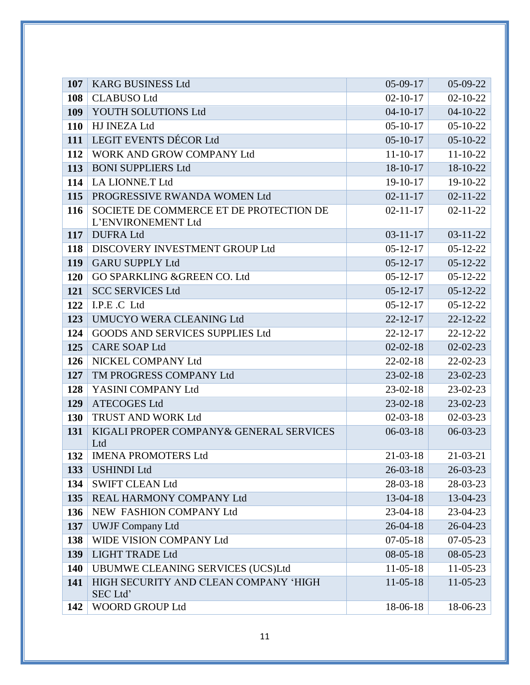| 107        | <b>KARG BUSINESS Ltd</b>                                      | $05-09-17$     | 05-09-22       |
|------------|---------------------------------------------------------------|----------------|----------------|
| 108        | <b>CLABUSO Ltd</b>                                            | $02 - 10 - 17$ | $02 - 10 - 22$ |
| 109        | YOUTH SOLUTIONS Ltd                                           | $04 - 10 - 17$ | $04 - 10 - 22$ |
| <b>110</b> | <b>HJ INEZA Ltd</b>                                           | $05-10-17$     | $05 - 10 - 22$ |
| 111        | <b>LEGIT EVENTS DÉCOR Ltd</b>                                 | $05 - 10 - 17$ | $05 - 10 - 22$ |
| 112        | WORK AND GROW COMPANY Ltd                                     | $11 - 10 - 17$ | $11 - 10 - 22$ |
| 113        | <b>BONI SUPPLIERS Ltd</b>                                     | 18-10-17       | 18-10-22       |
| 114        | LA LIONNE.T Ltd                                               | $19-10-17$     | 19-10-22       |
| 115        | PROGRESSIVE RWANDA WOMEN Ltd                                  | $02 - 11 - 17$ | $02 - 11 - 22$ |
| 116        | SOCIETE DE COMMERCE ET DE PROTECTION DE<br>L'ENVIRONEMENT Ltd | $02 - 11 - 17$ | $02 - 11 - 22$ |
| 117        | <b>DUFRALtd</b>                                               | $03 - 11 - 17$ | $03 - 11 - 22$ |
| 118        | DISCOVERY INVESTMENT GROUP Ltd                                | $05 - 12 - 17$ | $05 - 12 - 22$ |
| 119        | <b>GARU SUPPLY Ltd</b>                                        | $05 - 12 - 17$ | $05 - 12 - 22$ |
| <b>120</b> | <b>GO SPARKLING &amp; GREEN CO. Ltd</b>                       | $05 - 12 - 17$ | $05 - 12 - 22$ |
| 121        | <b>SCC SERVICES Ltd</b>                                       | $05 - 12 - 17$ | $05 - 12 - 22$ |
| 122        | I.P.E.C Ltd                                                   | $05 - 12 - 17$ | $05-12-22$     |
| 123        | UMUCYO WERA CLEANING Ltd                                      | $22 - 12 - 17$ | $22 - 12 - 22$ |
| 124        | <b>GOODS AND SERVICES SUPPLIES Ltd</b>                        | $22 - 12 - 17$ | $22 - 12 - 22$ |
| 125        | <b>CARE SOAP Ltd</b>                                          | $02 - 02 - 18$ | $02 - 02 - 23$ |
| 126        | NICKEL COMPANY Ltd                                            | $22 - 02 - 18$ | $22 - 02 - 23$ |
| 127        | TM PROGRESS COMPANY Ltd                                       | $23-02-18$     | $23 - 02 - 23$ |
| 128        | YASINI COMPANY Ltd                                            | $23-02-18$     | $23-02-23$     |
| 129        | <b>ATECOGES Ltd</b>                                           | $23-02-18$     | $23-02-23$     |
| <b>130</b> | TRUST AND WORK Ltd                                            | $02 - 03 - 18$ | $02 - 03 - 23$ |
| 131        | KIGALI PROPER COMPANY& GENERAL SERVICES<br>Ltd                | $06-03-18$     | $06-03-23$     |
| 132        | <b>IMENA PROMOTERS Ltd</b>                                    | $21 - 03 - 18$ | $21 - 03 - 21$ |
| 133        | <b>USHINDI Ltd</b>                                            | $26 - 03 - 18$ | 26-03-23       |
| 134        | <b>SWIFT CLEAN Ltd</b>                                        | 28-03-18       | 28-03-23       |
| 135        | REAL HARMONY COMPANY Ltd                                      | 13-04-18       | 13-04-23       |
| 136        | NEW FASHION COMPANY Ltd                                       | $23-04-18$     | 23-04-23       |
| 137        | <b>UWJF Company Ltd</b>                                       | $26 - 04 - 18$ | 26-04-23       |
| 138        | WIDE VISION COMPANY Ltd                                       | $07 - 05 - 18$ | $07 - 05 - 23$ |
| 139        | <b>LIGHT TRADE Ltd</b>                                        | $08 - 05 - 18$ | 08-05-23       |
| 140        | <b>UBUMWE CLEANING SERVICES (UCS)Ltd</b>                      | $11-05-18$     | $11-05-23$     |
| 141        | HIGH SECURITY AND CLEAN COMPANY 'HIGH<br>SEC Ltd'             | $11-05-18$     | $11-05-23$     |
| 142        | <b>WOORD GROUP Ltd</b>                                        | 18-06-18       | 18-06-23       |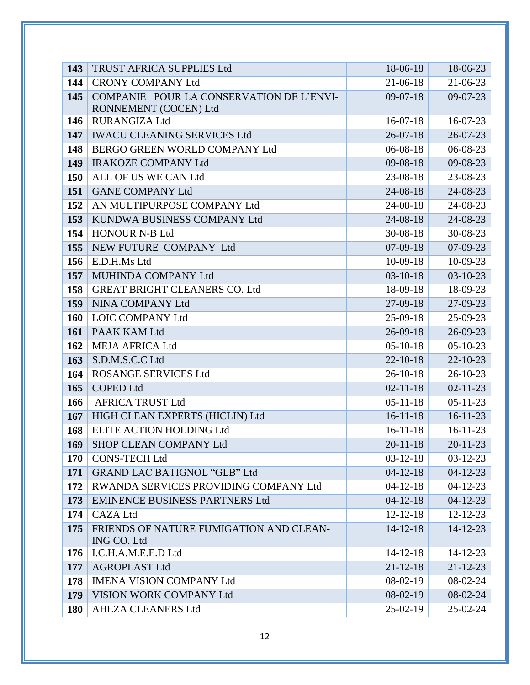| 143        | TRUST AFRICA SUPPLIES Ltd                              | 18-06-18       | 18-06-23       |
|------------|--------------------------------------------------------|----------------|----------------|
| 144        | <b>CRONY COMPANY Ltd</b>                               | 21-06-18       | $21-06-23$     |
| 145        | COMPANIE POUR LA CONSERVATION DE L'ENVI-               | $09-07-18$     | $09-07-23$     |
|            | RONNEMENT (COCEN) Ltd                                  |                |                |
| 146        | <b>RURANGIZA Ltd</b>                                   | $16-07-18$     | 16-07-23       |
| 147        | <b>IWACU CLEANING SERVICES Ltd</b>                     | $26 - 07 - 18$ | $26 - 07 - 23$ |
| 148        | BERGO GREEN WORLD COMPANY Ltd                          | $06 - 08 - 18$ | 06-08-23       |
| 149        | <b>IRAKOZE COMPANY Ltd</b>                             | $09 - 08 - 18$ | 09-08-23       |
| 150        | ALL OF US WE CAN Ltd                                   | 23-08-18       | 23-08-23       |
| 151        | <b>GANE COMPANY Ltd</b>                                | $24 - 08 - 18$ | 24-08-23       |
| 152        | AN MULTIPURPOSE COMPANY Ltd                            | 24-08-18       | 24-08-23       |
| 153        | KUNDWA BUSINESS COMPANY Ltd                            | 24-08-18       | 24-08-23       |
| 154        | <b>HONOUR N-B Ltd</b>                                  | $30 - 08 - 18$ | 30-08-23       |
| 155        | NEW FUTURE COMPANY Ltd                                 | $07-09-18$     | 07-09-23       |
| 156        | E.D.H.Ms Ltd                                           | $10-09-18$     | 10-09-23       |
| 157        | MUHINDA COMPANY Ltd                                    | $03 - 10 - 18$ | $03-10-23$     |
| 158        | <b>GREAT BRIGHT CLEANERS CO. Ltd</b>                   | 18-09-18       | 18-09-23       |
| 159        | NINA COMPANY Ltd                                       | $27-09-18$     | 27-09-23       |
| 160        | <b>LOIC COMPANY Ltd</b>                                | $25-09-18$     | 25-09-23       |
| 161        | PAAK KAM Ltd                                           | $26 - 09 - 18$ | 26-09-23       |
| 162        | <b>MEJA AFRICA Ltd</b>                                 | $05-10-18$     | $05-10-23$     |
| 163        | S.D.M.S.C.C Ltd                                        | $22 - 10 - 18$ | $22 - 10 - 23$ |
| 164        | <b>ROSANGE SERVICES Ltd</b>                            | $26 - 10 - 18$ | $26 - 10 - 23$ |
| 165        | <b>COPED Ltd</b>                                       | $02 - 11 - 18$ | $02 - 11 - 23$ |
| 166        | <b>AFRICA TRUST Ltd</b>                                | $05 - 11 - 18$ | $05 - 11 - 23$ |
| 167        | HIGH CLEAN EXPERTS (HICLIN) Ltd                        | $16 - 11 - 18$ | $16-11-23$     |
| 168        | ELITE ACTION HOLDING Ltd                               | $16 - 11 - 18$ | $16-11-23$     |
| 169        | SHOP CLEAN COMPANY Ltd                                 | $20 - 11 - 18$ | $20 - 11 - 23$ |
| <b>170</b> | <b>CONS-TECH Ltd</b>                                   | $03-12-18$     | $03-12-23$     |
| 171        | <b>GRAND LAC BATIGNOL "GLB" Ltd</b>                    | $04 - 12 - 18$ | $04 - 12 - 23$ |
| 172        | RWANDA SERVICES PROVIDING COMPANY Ltd                  | $04 - 12 - 18$ | $04-12-23$     |
| 173        | <b>EMINENCE BUSINESS PARTNERS Ltd</b>                  | $04 - 12 - 18$ | $04 - 12 - 23$ |
| 174        | <b>CAZA Ltd</b>                                        | $12 - 12 - 18$ | $12 - 12 - 23$ |
| 175        | FRIENDS OF NATURE FUMIGATION AND CLEAN-<br>ING CO. Ltd | $14 - 12 - 18$ | $14 - 12 - 23$ |
| 176        | I.C.H.A.M.E.E.D Ltd                                    | $14 - 12 - 18$ | $14 - 12 - 23$ |
| 177        | <b>AGROPLAST Ltd</b>                                   | $21 - 12 - 18$ | $21 - 12 - 23$ |
| 178        | <b>IMENA VISION COMPANY Ltd</b>                        | $08-02-19$     | $08-02-24$     |
| 179        | VISION WORK COMPANY Ltd                                | $08-02-19$     | 08-02-24       |
| <b>180</b> | <b>AHEZA CLEANERS Ltd</b>                              | $25-02-19$     | $25-02-24$     |
|            |                                                        |                |                |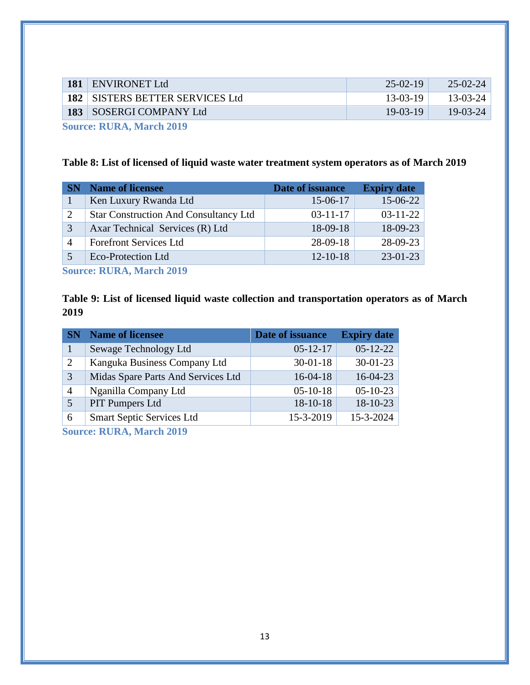| 181 | <b>ENVIRONET Ltd</b>              | $25-02-19$ | $25 - 02 - 24$ |
|-----|-----------------------------------|------------|----------------|
|     | 182   SISTERS BETTER SERVICES Ltd | $13-03-19$ | $13 - 03 - 24$ |
|     | 183   SOSERGI COMPANY Ltd         | $19-03-19$ | $19-03-24$     |
|     |                                   |            |                |

**Source: RURA, March 2019**

### <span id="page-15-0"></span>**Table 8: List of licensed of liquid waste water treatment system operators as of March 2019**

|                | <b>Name of licensee</b>                      | Date of issuance | <b>Expiry date</b> |
|----------------|----------------------------------------------|------------------|--------------------|
|                | Ken Luxury Rwanda Ltd                        | 15-06-17         | 15-06-22           |
| 2              | <b>Star Construction And Consultancy Ltd</b> | $03 - 11 - 17$   | $03 - 11 - 22$     |
| 3              | Axar Technical Services (R) Ltd              | $18-09-18$       | 18-09-23           |
| $\overline{4}$ | <b>Forefront Services Ltd</b>                | $28-09-18$       | 28-09-23           |
|                | Eco-Protection Ltd                           | $12 - 10 - 18$   | $23 - 01 - 23$     |

**Source: RURA, March 2019**

<span id="page-15-1"></span>**Table 9: List of licensed liquid waste collection and transportation operators as of March**  

| <b>SN</b> | <b>Name of licensee</b>            | Date of issuance | <b>Expiry date</b> |
|-----------|------------------------------------|------------------|--------------------|
|           | Sewage Technology Ltd              | $05 - 12 - 17$   | $05-12-22$         |
| 2         | Kanguka Business Company Ltd       | $30 - 01 - 18$   | $30 - 01 - 23$     |
| 3         | Midas Spare Parts And Services Ltd | $16-04-18$       | $16-04-23$         |
|           | Nganilla Company Ltd               | $05-10-18$       | $05-10-23$         |
|           | <b>PIT Pumpers Ltd</b>             | $18-10-18$       | 18-10-23           |
| 6         | <b>Smart Septic Services Ltd</b>   | 15-3-2019        | 15-3-2024          |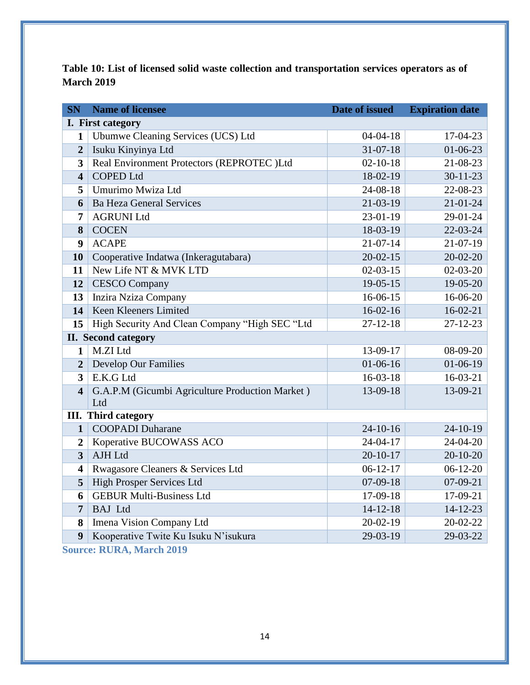<span id="page-16-0"></span>**Table 10: List of licensed solid waste collection and transportation services operators as of March 2019**

| <b>SN</b>               | <b>Name of licensee</b>                         | Date of issued | <b>Expiration date</b> |
|-------------------------|-------------------------------------------------|----------------|------------------------|
|                         | I. First category                               |                |                        |
| 1                       | Ubumwe Cleaning Services (UCS) Ltd              | $04 - 04 - 18$ | 17-04-23               |
| $\overline{2}$          | Isuku Kinyinya Ltd                              | $31 - 07 - 18$ | $01 - 06 - 23$         |
| 3                       | Real Environment Protectors (REPROTEC )Ltd      | $02 - 10 - 18$ | 21-08-23               |
| $\overline{\mathbf{4}}$ | <b>COPED Ltd</b>                                | 18-02-19       | $30 - 11 - 23$         |
| 5                       | Umurimo Mwiza Ltd                               | 24-08-18       | 22-08-23               |
| 6                       | <b>Ba Heza General Services</b>                 | 21-03-19       | $21 - 01 - 24$         |
| $\overline{7}$          | <b>AGRUNI Ltd</b>                               | 23-01-19       | 29-01-24               |
| 8                       | <b>COCEN</b>                                    | 18-03-19       | 22-03-24               |
| 9                       | <b>ACAPE</b>                                    | $21 - 07 - 14$ | $21-07-19$             |
| 10                      | Cooperative Indatwa (Inkeragutabara)            | $20 - 02 - 15$ | $20 - 02 - 20$         |
| 11                      | New Life NT & MVK LTD                           | $02 - 03 - 15$ | $02 - 03 - 20$         |
| 12                      | <b>CESCO Company</b>                            | $19-05-15$     | 19-05-20               |
| 13                      | Inzira Nziza Company                            | 16-06-15       | 16-06-20               |
| 14                      | Keen Kleeners Limited                           | $16-02-16$     | $16 - 02 - 21$         |
| 15                      | High Security And Clean Company "High SEC "Ltd  | $27 - 12 - 18$ | $27 - 12 - 23$         |
|                         | II. Second category                             |                |                        |
| $\mathbf{1}$            | M.ZI Ltd                                        | 13-09-17       | 08-09-20               |
| $\overline{2}$          | <b>Develop Our Families</b>                     | $01-06-16$     | $01-06-19$             |
| 3                       | E.K.G Ltd                                       | 16-03-18       | 16-03-21               |
| $\overline{\mathbf{4}}$ | G.A.P.M (Gicumbi Agriculture Production Market) | 13-09-18       | 13-09-21               |
|                         | Ltd                                             |                |                        |
|                         | <b>III.</b> Third category                      |                |                        |
| $\mathbf{1}$            | <b>COOPADI</b> Duharane                         | $24 - 10 - 16$ | $24-10-19$             |
| $\boldsymbol{2}$        | Koperative BUCOWASS ACO                         | 24-04-17       | 24-04-20               |
| $\overline{\mathbf{3}}$ | <b>AJH Ltd</b>                                  | $20 - 10 - 17$ | $20 - 10 - 20$         |
| $\overline{\mathbf{4}}$ | Rwagasore Cleaners & Services Ltd               | $06-12-17$     | $06-12-20$             |
| 5                       | <b>High Prosper Services Ltd</b>                | $07-09-18$     | 07-09-21               |
| 6                       | <b>GEBUR Multi-Business Ltd</b>                 | 17-09-18       | 17-09-21               |
| 7                       | <b>BAJ</b> Ltd                                  | $14 - 12 - 18$ | $14 - 12 - 23$         |
| 8                       | Imena Vision Company Ltd                        | $20-02-19$     | 20-02-22               |
| 9                       | Kooperative Twite Ku Isuku N'isukura            | 29-03-19       | 29-03-22               |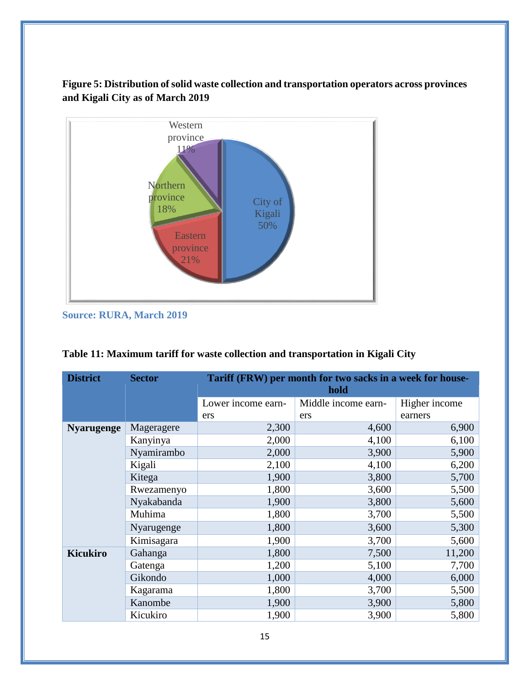# <span id="page-17-1"></span>**Figure 5: Distribution of solid waste collection and transportation operators across provinces and Kigali City as of March 2019**



**Source: RURA, March 2019**

| <b>District</b>   | <b>Sector</b> | Tariff (FRW) per month for two sacks in a week for house-<br>hold |                     |               |  |  |  |  |
|-------------------|---------------|-------------------------------------------------------------------|---------------------|---------------|--|--|--|--|
|                   |               |                                                                   |                     |               |  |  |  |  |
|                   |               | Lower income earn-                                                | Middle income earn- | Higher income |  |  |  |  |
|                   |               | ers                                                               | ers                 | earners       |  |  |  |  |
| <b>Nyarugenge</b> | Mageragere    | 2,300                                                             | 4,600               | 6,900         |  |  |  |  |
|                   | Kanyinya      | 2,000                                                             | 4,100               | 6,100         |  |  |  |  |
|                   | Nyamirambo    | 2,000                                                             | 3,900               | 5,900         |  |  |  |  |
|                   | Kigali        | 2,100                                                             | 4,100               | 6,200         |  |  |  |  |
|                   | Kitega        | 1,900                                                             | 3,800               | 5,700         |  |  |  |  |
|                   | Rwezamenyo    | 1,800                                                             | 3,600               | 5,500         |  |  |  |  |
|                   | Nyakabanda    | 1,900                                                             | 3,800               | 5,600         |  |  |  |  |
|                   | Muhima        | 1,800                                                             | 3,700               | 5,500         |  |  |  |  |
|                   | Nyarugenge    | 1,800                                                             | 3,600               | 5,300         |  |  |  |  |
|                   | Kimisagara    | 1,900                                                             | 3,700               | 5,600         |  |  |  |  |
| <b>Kicukiro</b>   | Gahanga       | 1,800                                                             | 7,500               | 11,200        |  |  |  |  |
|                   | Gatenga       | 1,200                                                             | 5,100               | 7,700         |  |  |  |  |
|                   | Gikondo       | 1,000                                                             | 4,000               | 6,000         |  |  |  |  |
|                   | Kagarama      | 1,800                                                             | 3,700               | 5,500         |  |  |  |  |
|                   | Kanombe       | 1,900                                                             | 3,900               | 5,800         |  |  |  |  |
|                   | Kicukiro      | 1,900                                                             | 3,900               | 5,800         |  |  |  |  |

# <span id="page-17-0"></span>**Table 11: Maximum tariff for waste collection and transportation in Kigali City**